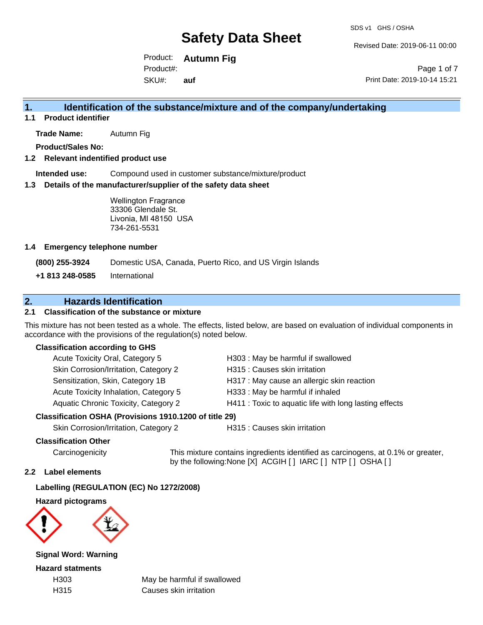Revised Date: 2019-06-11 00:00

Product: **Autumn Fig** SKU#: Product#: **auf**

Page 1 of 7 Print Date: 2019-10-14 15:21

## **1. Identification of the substance/mixture and of the company/undertaking**

**1.1 Product identifier**

**Trade Name:** Autumn Fig

**Product/Sales No:**

### **1.2 Relevant indentified product use**

**Intended use:** Compound used in customer substance/mixture/product

### **1.3 Details of the manufacturer/supplier of the safety data sheet**

Wellington Fragrance 33306 Glendale St. Livonia, MI 48150 USA 734-261-5531

### **1.4 Emergency telephone number**

**(800) 255-3924** Domestic USA, Canada, Puerto Rico, and US Virgin Islands

**+1 813 248-0585** International

## **2. Hazards Identification**

### **2.1 Classification of the substance or mixture**

This mixture has not been tested as a whole. The effects, listed below, are based on evaluation of individual components in accordance with the provisions of the regulation(s) noted below.

### **Classification according to GHS**

| Acute Toxicity Oral, Category 5                     | H303: May be harmful if swallowed                      |
|-----------------------------------------------------|--------------------------------------------------------|
| Skin Corrosion/Irritation, Category 2               | H315 : Causes skin irritation                          |
| Sensitization, Skin, Category 1B                    | H317 : May cause an allergic skin reaction             |
| Acute Toxicity Inhalation, Category 5               | H333: May be harmful if inhaled                        |
| Aquatic Chronic Toxicity, Category 2                | H411 : Toxic to aquatic life with long lasting effects |
| esification OSHA (Provisions 1910 1200 of title 29) |                                                        |

## **Classification OSHA (Provisions 1910.1200 of title 29)**

Skin Corrosion/Irritation, Category 2 H315 : Causes skin irritation

### **Classification Other**

Carcinogenicity This mixture contains ingredients identified as carcinogens, at 0.1% or greater, by the following:None [X] ACGIH [ ] IARC [ ] NTP [ ] OSHA [ ]

### **2.2 Label elements**

### **Labelling (REGULATION (EC) No 1272/2008)**

**Hazard pictograms**



**Signal Word: Warning**

**Hazard statments**

H303 May be harmful if swallowed H315 Causes skin irritation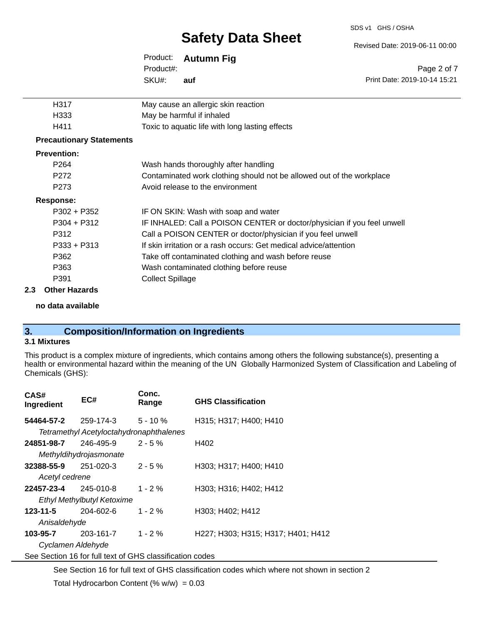#### SDS v1 GHS / OSHA

# **Safety Data Sheet**

Revised Date: 2019-06-11 00:00

|                                 | Product:<br>Product#:                                                 | <b>Autumn Fig.</b>                   | Page 2 of 7                  |  |
|---------------------------------|-----------------------------------------------------------------------|--------------------------------------|------------------------------|--|
|                                 | SKU#:                                                                 | auf                                  | Print Date: 2019-10-14 15:21 |  |
| H317                            |                                                                       | May cause an allergic skin reaction  |                              |  |
| H333                            | May be harmful if inhaled                                             |                                      |                              |  |
| H411                            | Toxic to aquatic life with long lasting effects                       |                                      |                              |  |
| <b>Precautionary Statements</b> |                                                                       |                                      |                              |  |
| <b>Prevention:</b>              |                                                                       |                                      |                              |  |
| P <sub>264</sub>                |                                                                       | Wash hands thoroughly after handling |                              |  |
| P <sub>272</sub>                | Contaminated work clothing should not be allowed out of the workplace |                                      |                              |  |
| P <sub>273</sub>                | Avoid release to the environment                                      |                                      |                              |  |
|                                 |                                                                       |                                      |                              |  |

### **Response:**

| ,,,,,,,,      |                                                                         |
|---------------|-------------------------------------------------------------------------|
| $P302 + P352$ | IF ON SKIN: Wash with soap and water                                    |
| $P304 + P312$ | IF INHALED: Call a POISON CENTER or doctor/physician if you feel unwell |
| P312          | Call a POISON CENTER or doctor/physician if you feel unwell             |
| $P333 + P313$ | If skin irritation or a rash occurs: Get medical advice/attention       |
| P362          | Take off contaminated clothing and wash before reuse                    |
| P363          | Wash contaminated clothing before reuse                                 |
| P391          | <b>Collect Spillage</b>                                                 |
|               |                                                                         |

### **2.3 Other Hazards**

**no data available**

## **3. Composition/Information on Ingredients**

### **3.1 Mixtures**

This product is a complex mixture of ingredients, which contains among others the following substance(s), presenting a health or environmental hazard within the meaning of the UN Globally Harmonized System of Classification and Labeling of Chemicals (GHS):

| CAS#<br>Ingredient         | EC#                         | Conc.<br>Range                                           | <b>GHS Classification</b>          |  |
|----------------------------|-----------------------------|----------------------------------------------------------|------------------------------------|--|
|                            | <b>54464-57-2</b> 259-174-3 | $5 - 10 \%$                                              | H315; H317; H400; H410             |  |
|                            |                             | Tetramethyl Acetyloctahydronaphthalenes                  |                                    |  |
| 24851-98-7                 | 246-495-9                   | $2 - 5 \%$                                               | H402                               |  |
|                            | Methyldihydrojasmonate      |                                                          |                                    |  |
| 32388-55-9                 | 251-020-3                   | $2 - 5 \%$                                               | H303; H317; H400; H410             |  |
| Acetyl cedrene             |                             |                                                          |                                    |  |
| 22457-23-4 245-010-8       |                             | $1 - 2 \%$                                               | H303; H316; H402; H412             |  |
| Ethyl Methylbutyl Ketoxime |                             |                                                          |                                    |  |
| 123-11-5                   | 204-602-6                   | $1 - 2 \%$                                               | H303; H402; H412                   |  |
| Anisaldehyde               |                             |                                                          |                                    |  |
| 103-95-7                   | 203-161-7                   | $1 - 2 \%$                                               | H227; H303; H315; H317; H401; H412 |  |
| Cyclamen Aldehyde          |                             |                                                          |                                    |  |
|                            |                             | See Section 16 for full text of GHS classification codes |                                    |  |

See Section 16 for full text of GHS classification codes which where not shown in section 2

Total Hydrocarbon Content (%  $w/w$ ) = 0.03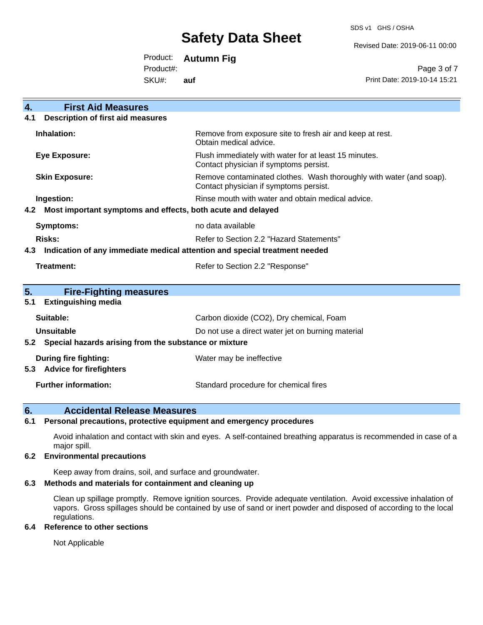SDS v1 GHS / OSHA

Revised Date: 2019-06-11 00:00

Product: **Autumn Fig**

Product#:

SKU#: **auf**

Page 3 of 7 Print Date: 2019-10-14 15:21

| <b>First Aid Measures</b><br>4.                                                   |                                                                                                               |  |
|-----------------------------------------------------------------------------------|---------------------------------------------------------------------------------------------------------------|--|
| <b>Description of first aid measures</b><br>4.1                                   |                                                                                                               |  |
| Inhalation:                                                                       | Remove from exposure site to fresh air and keep at rest.<br>Obtain medical advice.                            |  |
| <b>Eye Exposure:</b>                                                              | Flush immediately with water for at least 15 minutes.<br>Contact physician if symptoms persist.               |  |
| <b>Skin Exposure:</b>                                                             | Remove contaminated clothes. Wash thoroughly with water (and soap).<br>Contact physician if symptoms persist. |  |
| Ingestion:                                                                        | Rinse mouth with water and obtain medical advice.                                                             |  |
| 4.2<br>Most important symptoms and effects, both acute and delayed                |                                                                                                               |  |
| Symptoms:                                                                         | no data available                                                                                             |  |
| <b>Risks:</b>                                                                     | Refer to Section 2.2 "Hazard Statements"                                                                      |  |
| 4.3<br>Indication of any immediate medical attention and special treatment needed |                                                                                                               |  |
| Treatment:                                                                        | Refer to Section 2.2 "Response"                                                                               |  |
|                                                                                   |                                                                                                               |  |
| 5.<br><b>Fire-Fighting measures</b>                                               |                                                                                                               |  |
| <b>Extinguishing media</b><br>5.1                                                 |                                                                                                               |  |
| Suitable:                                                                         | Carbon dioxide (CO2), Dry chemical, Foam                                                                      |  |
| Unsuitable                                                                        | Do not use a direct water jet on burning material                                                             |  |
| Special hazards arising from the substance or mixture<br>5.2                      |                                                                                                               |  |
| <b>During fire fighting:</b>                                                      | Water may be ineffective                                                                                      |  |
| <b>Advice for firefighters</b><br>5.3                                             |                                                                                                               |  |
| <b>Further information:</b>                                                       | Standard procedure for chemical fires                                                                         |  |

### **6. Accidental Release Measures**

### **6.1 Personal precautions, protective equipment and emergency procedures**

Avoid inhalation and contact with skin and eyes. A self-contained breathing apparatus is recommended in case of a major spill.

### **6.2 Environmental precautions**

Keep away from drains, soil, and surface and groundwater.

### **6.3 Methods and materials for containment and cleaning up**

Clean up spillage promptly. Remove ignition sources. Provide adequate ventilation. Avoid excessive inhalation of vapors. Gross spillages should be contained by use of sand or inert powder and disposed of according to the local regulations.

### **6.4 Reference to other sections**

Not Applicable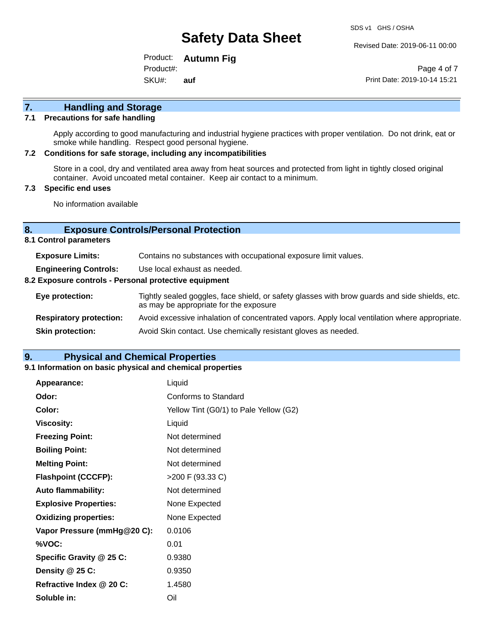Revised Date: 2019-06-11 00:00

Product: **Autumn Fig** SKU#: Product#: **auf**

Page 4 of 7 Print Date: 2019-10-14 15:21

# **7. Handling and Storage**

### **7.1 Precautions for safe handling**

Apply according to good manufacturing and industrial hygiene practices with proper ventilation. Do not drink, eat or smoke while handling. Respect good personal hygiene.

### **7.2 Conditions for safe storage, including any incompatibilities**

Store in a cool, dry and ventilated area away from heat sources and protected from light in tightly closed original container. Avoid uncoated metal container. Keep air contact to a minimum.

### **7.3 Specific end uses**

No information available

### **8. Exposure Controls/Personal Protection**

**8.1 Control parameters**

| <b>Exposure Limits:</b>                               | Contains no substances with occupational exposure limit values.                                                                          |  |
|-------------------------------------------------------|------------------------------------------------------------------------------------------------------------------------------------------|--|
| <b>Engineering Controls:</b>                          | Use local exhaust as needed.                                                                                                             |  |
| 8.2 Exposure controls - Personal protective equipment |                                                                                                                                          |  |
| Eye protection:                                       | Tightly sealed goggles, face shield, or safety glasses with brow guards and side shields, etc.<br>as may be appropriate for the exposure |  |
| <b>Respiratory protection:</b>                        | Avoid excessive inhalation of concentrated vapors. Apply local ventilation where appropriate.                                            |  |
| <b>Skin protection:</b>                               | Avoid Skin contact. Use chemically resistant gloves as needed.                                                                           |  |

### **9. Physical and Chemical Properties**

### **9.1 Information on basic physical and chemical properties**

| Appearance:                  | Liquid                                 |
|------------------------------|----------------------------------------|
| Odor:                        | Conforms to Standard                   |
| Color:                       | Yellow Tint (G0/1) to Pale Yellow (G2) |
| <b>Viscosity:</b>            | Liquid                                 |
| <b>Freezing Point:</b>       | Not determined                         |
| <b>Boiling Point:</b>        | Not determined                         |
| <b>Melting Point:</b>        | Not determined                         |
| <b>Flashpoint (CCCFP):</b>   | >200 F (93.33 C)                       |
| <b>Auto flammability:</b>    | Not determined                         |
| <b>Explosive Properties:</b> | None Expected                          |
| <b>Oxidizing properties:</b> | None Expected                          |
| Vapor Pressure (mmHg@20 C):  | 0.0106                                 |
| %VOC:                        | 0.01                                   |
| Specific Gravity @ 25 C:     | 0.9380                                 |
| Density @ 25 C:              | 0.9350                                 |
| Refractive Index @ 20 C:     | 1.4580                                 |
| Soluble in:                  | Oil                                    |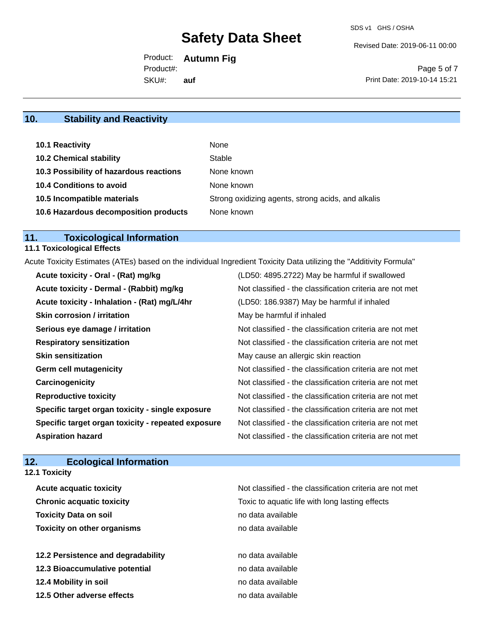Revised Date: 2019-06-11 00:00

Product: **Autumn Fig** SKU#: Product#: **auf**

Page 5 of 7 Print Date: 2019-10-14 15:21

# **10. Stability and Reactivity**

| 10.1 Reactivity                         | None                                               |
|-----------------------------------------|----------------------------------------------------|
| <b>10.2 Chemical stability</b>          | Stable                                             |
| 10.3 Possibility of hazardous reactions | None known                                         |
| <b>10.4 Conditions to avoid</b>         | None known                                         |
| 10.5 Incompatible materials             | Strong oxidizing agents, strong acids, and alkalis |
| 10.6 Hazardous decomposition products   | None known                                         |

# **11. Toxicological Information**

# **11.1 Toxicological Effects**

Acute Toxicity Estimates (ATEs) based on the individual Ingredient Toxicity Data utilizing the "Additivity Formula"

| Acute toxicity - Oral - (Rat) mg/kg                | (LD50: 4895.2722) May be harmful if swallowed            |
|----------------------------------------------------|----------------------------------------------------------|
| Acute toxicity - Dermal - (Rabbit) mg/kg           | Not classified - the classification criteria are not met |
| Acute toxicity - Inhalation - (Rat) mg/L/4hr       | (LD50: 186.9387) May be harmful if inhaled               |
| <b>Skin corrosion / irritation</b>                 | May be harmful if inhaled                                |
| Serious eye damage / irritation                    | Not classified - the classification criteria are not met |
| <b>Respiratory sensitization</b>                   | Not classified - the classification criteria are not met |
| <b>Skin sensitization</b>                          | May cause an allergic skin reaction                      |
| <b>Germ cell mutagenicity</b>                      | Not classified - the classification criteria are not met |
| Carcinogenicity                                    | Not classified - the classification criteria are not met |
| <b>Reproductive toxicity</b>                       | Not classified - the classification criteria are not met |
| Specific target organ toxicity - single exposure   | Not classified - the classification criteria are not met |
| Specific target organ toxicity - repeated exposure | Not classified - the classification criteria are not met |
| <b>Aspiration hazard</b>                           | Not classified - the classification criteria are not met |

## **12. Ecological Information**

**12.1 Toxicity**

| <b>Acute acquatic toxicity</b>     | Not classified - the classification criteria are not met |
|------------------------------------|----------------------------------------------------------|
| <b>Chronic acquatic toxicity</b>   | Toxic to aquatic life with long lasting effects          |
| <b>Toxicity Data on soil</b>       | no data available                                        |
| <b>Toxicity on other organisms</b> | no data available                                        |
|                                    |                                                          |
| 12.2 Persistence and degradability | no data available                                        |
| 12.3 Bioaccumulative potential     | no data available                                        |
| 12.4 Mobility in soil              | no data available                                        |
| 12.5 Other adverse effects         | no data available                                        |
|                                    |                                                          |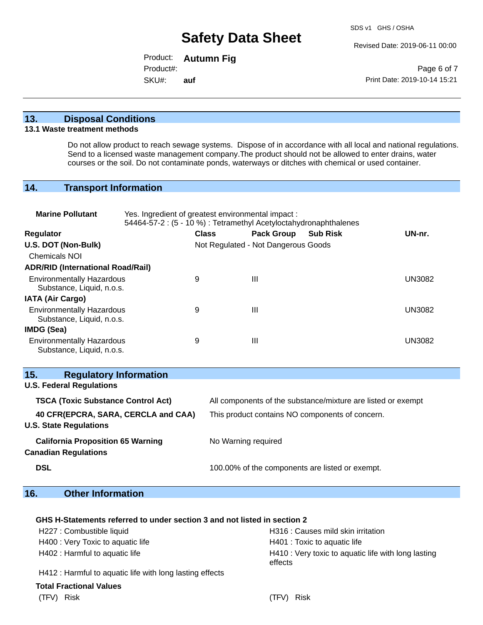Revised Date: 2019-06-11 00:00

Product: **Autumn Fig** SKU#: Product#: **auf**

Page 6 of 7 Print Date: 2019-10-14 15:21

### **13. Disposal Conditions**

### **13.1 Waste treatment methods**

Do not allow product to reach sewage systems. Dispose of in accordance with all local and national regulations. Send to a licensed waste management company.The product should not be allowed to enter drains, water courses or the soil. Do not contaminate ponds, waterways or ditches with chemical or used container.

## **14. Transport Information**

| <b>Marine Pollutant</b>                                                 | Yes. Ingredient of greatest environmental impact :<br>54464-57-2 : (5 - 10 %) : Tetramethyl Acetyloctahydronaphthalenes |                     |                                     |                                                              |               |
|-------------------------------------------------------------------------|-------------------------------------------------------------------------------------------------------------------------|---------------------|-------------------------------------|--------------------------------------------------------------|---------------|
| <b>Regulator</b>                                                        |                                                                                                                         | <b>Class</b>        | <b>Pack Group</b>                   | <b>Sub Risk</b>                                              | UN-nr.        |
| U.S. DOT (Non-Bulk)                                                     |                                                                                                                         |                     | Not Regulated - Not Dangerous Goods |                                                              |               |
| <b>Chemicals NOI</b>                                                    |                                                                                                                         |                     |                                     |                                                              |               |
| <b>ADR/RID (International Road/Rail)</b>                                |                                                                                                                         |                     |                                     |                                                              |               |
| <b>Environmentally Hazardous</b><br>Substance, Liquid, n.o.s.           | 9                                                                                                                       |                     | $\mathbf{III}$                      |                                                              | <b>UN3082</b> |
| <b>IATA (Air Cargo)</b>                                                 |                                                                                                                         |                     |                                     |                                                              |               |
| <b>Environmentally Hazardous</b><br>Substance, Liquid, n.o.s.           | 9                                                                                                                       |                     | $\mathbf{III}$                      |                                                              | <b>UN3082</b> |
| IMDG (Sea)                                                              |                                                                                                                         |                     |                                     |                                                              |               |
| <b>Environmentally Hazardous</b><br>Substance, Liquid, n.o.s.           | 9                                                                                                                       |                     | $\mathbf{III}$                      |                                                              | <b>UN3082</b> |
| <b>Regulatory Information</b><br>15.                                    |                                                                                                                         |                     |                                     |                                                              |               |
| <b>U.S. Federal Regulations</b>                                         |                                                                                                                         |                     |                                     |                                                              |               |
| <b>TSCA (Toxic Substance Control Act)</b>                               |                                                                                                                         |                     |                                     | All components of the substance/mixture are listed or exempt |               |
| 40 CFR(EPCRA, SARA, CERCLA and CAA)<br><b>U.S. State Regulations</b>    |                                                                                                                         |                     |                                     | This product contains NO components of concern.              |               |
| <b>California Proposition 65 Warning</b><br><b>Canadian Regulations</b> |                                                                                                                         | No Warning required |                                     |                                                              |               |
| <b>DSL</b>                                                              |                                                                                                                         |                     |                                     | 100.00% of the components are listed or exempt.              |               |

## **16. Other Information**

### **GHS H-Statements referred to under section 3 and not listed in section 2**

| H227 : Combustible liquid                                | H316 : Causes mild skin irritation                             |
|----------------------------------------------------------|----------------------------------------------------------------|
| H400 : Very Toxic to aquatic life                        | H401 : Toxic to aquatic life                                   |
| H402 : Harmful to aquatic life                           | H410 : Very toxic to aquatic life with long lasting<br>effects |
| H412 : Harmful to aquatic life with long lasting effects |                                                                |

### **Total Fractional Values**

### (TFV) Risk (TFV) Risk